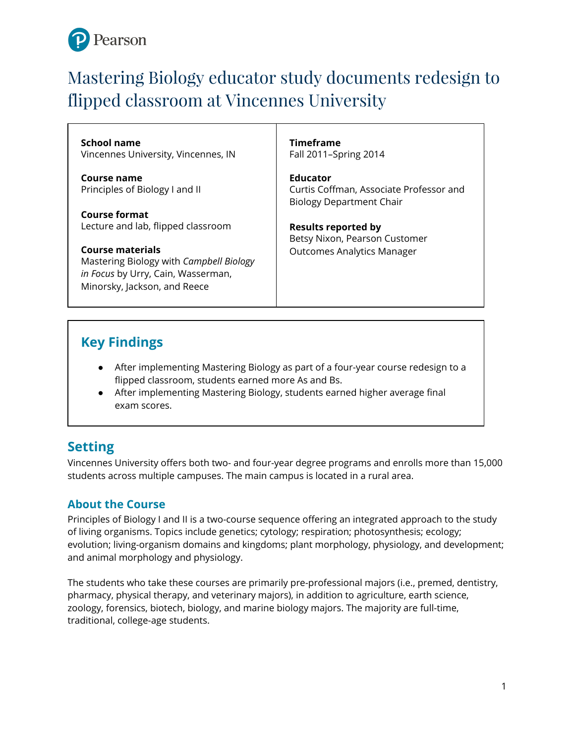

# Mastering Biology educator study documents redesign to flipped classroom at Vincennes University

**School name** Vincennes University, Vincennes, IN

**Course name** Principles of Biology I and II

**Course format** Lecture and lab, flipped classroom

**Course materials** Mastering Biology with *Campbell Biology in Focus* by Urry, Cain, Wasserman, Minorsky, Jackson, and Reece

**Timeframe** Fall 2011–Spring 2014

**Educator** Curtis Coffman, Associate Professor and Biology Department Chair

**Results reported by** Betsy Nixon, Pearson Customer Outcomes Analytics Manager

# **Key Findings**

- After implementing Mastering Biology as part of a four-year course redesign to a flipped classroom, students earned more As and Bs.
- After implementing Mastering Biology, students earned higher average final exam scores.

# **Setting**

Vincennes University offers both two- and four-year degree programs and enrolls more than 15,000 students across multiple campuses. The main campus is located in a rural area.

### **About the Course**

Principles of Biology I and II is a two-course sequence offering an integrated approach to the study of living organisms. Topics include genetics; cytology; respiration; photosynthesis; ecology; evolution; living-organism domains and kingdoms; plant morphology, physiology, and development; and animal morphology and physiology.

The students who take these courses are primarily pre-professional majors (i.e., premed, dentistry, pharmacy, physical therapy, and veterinary majors), in addition to agriculture, earth science, zoology, forensics, biotech, biology, and marine biology majors. The majority are full-time, traditional, college-age students.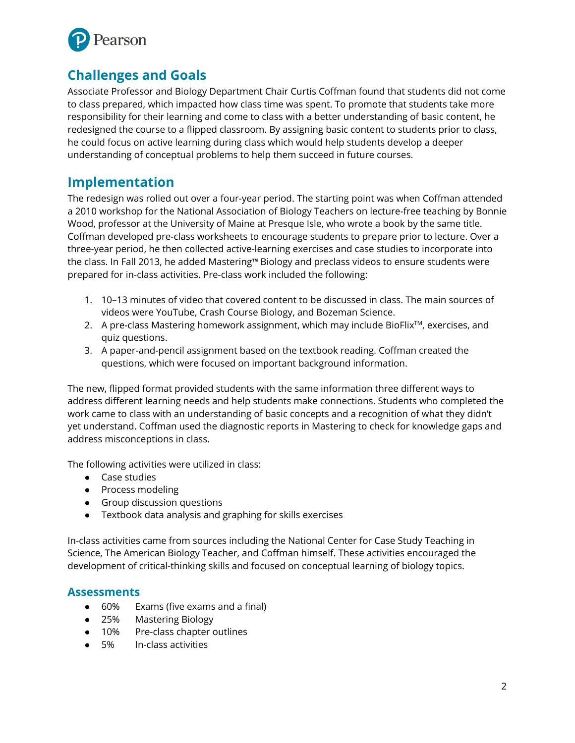

# **Challenges and Goals**

Associate Professor and Biology Department Chair Curtis Coffman found that students did not come to class prepared, which impacted how class time was spent. To promote that students take more responsibility for their learning and come to class with a better understanding of basic content, he redesigned the course to a flipped classroom. By assigning basic content to students prior to class, he could focus on active learning during class which would help students develop a deeper understanding of conceptual problems to help them succeed in future courses.

### **Implementation**

The redesign was rolled out over a four-year period. The starting point was when Coffman attended a 2010 workshop for the National Association of Biology Teachers on lecture-free teaching by Bonnie Wood, professor at the University of Maine at Presque Isle, who wrote a book by the same title. Coffman developed pre-class worksheets to encourage students to prepare prior to lecture. Over a three-year period, he then collected active-learning exercises and case studies to incorporate into the class. In Fall 2013, he added Mastering™ Biology and preclass videos to ensure students were prepared for in-class activities. Pre-class work included the following:

- 1. 10–13 minutes of video that covered content to be discussed in class. The main sources of videos were YouTube, Crash Course Biology, and Bozeman Science.
- 2. A pre-class Mastering homework assignment, which may include BioFlix TM, exercises, and quiz questions.
- 3. A paper-and-pencil assignment based on the textbook reading. Coffman created the questions, which were focused on important background information.

The new, flipped format provided students with the same information three different ways to address different learning needs and help students make connections. Students who completed the work came to class with an understanding of basic concepts and a recognition of what they didn't yet understand. Coffman used the diagnostic reports in Mastering to check for knowledge gaps and address misconceptions in class.

The following activities were utilized in class:

- Case studies
- Process modeling
- Group discussion questions
- Textbook data analysis and graphing for skills exercises

In-class activities came from sources including the National Center for Case Study Teaching in Science, The American Biology Teacher, and Coffman himself. These activities encouraged the development of critical-thinking skills and focused on conceptual learning of biology topics.

#### **Assessments**

- 60% Exams (five exams and a final)
- 25% Mastering Biology
- 10% Pre-class chapter outlines
- 5% In-class activities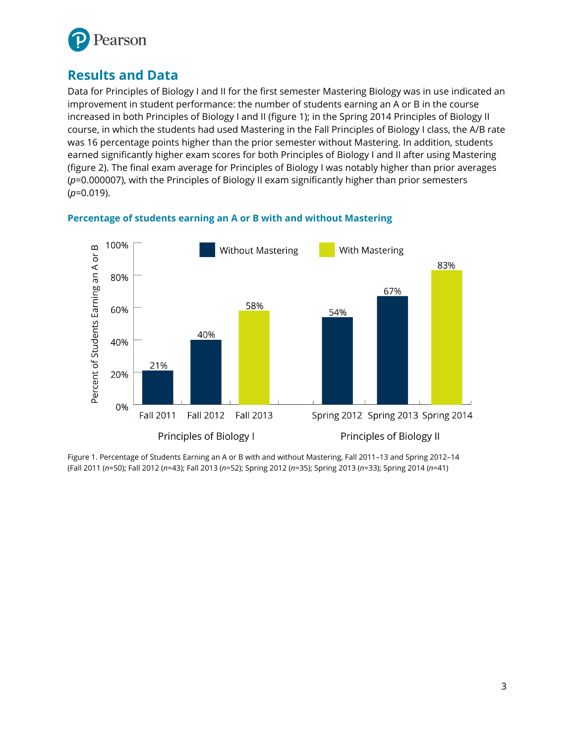

# **Results and Data**

Data for Principles of Biology I and II for the first semester Mastering Biology was in use indicated an improvement in student performance: the number of students earning an A or B in the course increased in both Principles of Biology I and II (figure 1); in the Spring 2014 Principles of Biology II course, in which the students had used Mastering in the Fall Principles of Biology I class, the A/B rate was 16 percentage points higher than the prior semester without Mastering. In addition, students earned significantly higher exam scores for both Principles of Biology I and II after using Mastering (figure 2). The final exam average for Principles of Biology I was notably higher than prior averages (*p*=0.000007), with the Principles of Biology II exam significantly higher than prior semesters (*p*=0.019).



#### **Percentage of students earning an A or B with and without Mastering**

Figure 1. Percentage of Students Earning an A or B with and without Mastering, Fall 2011–13 and Spring 2012–14 (Fall 2011 (*n*=50); Fall 2012 (*n*=43); Fall 2013 (*n*=52); Spring 2012 (*n*=35); Spring 2013 (*n*=33); Spring 2014 (*n*=41)